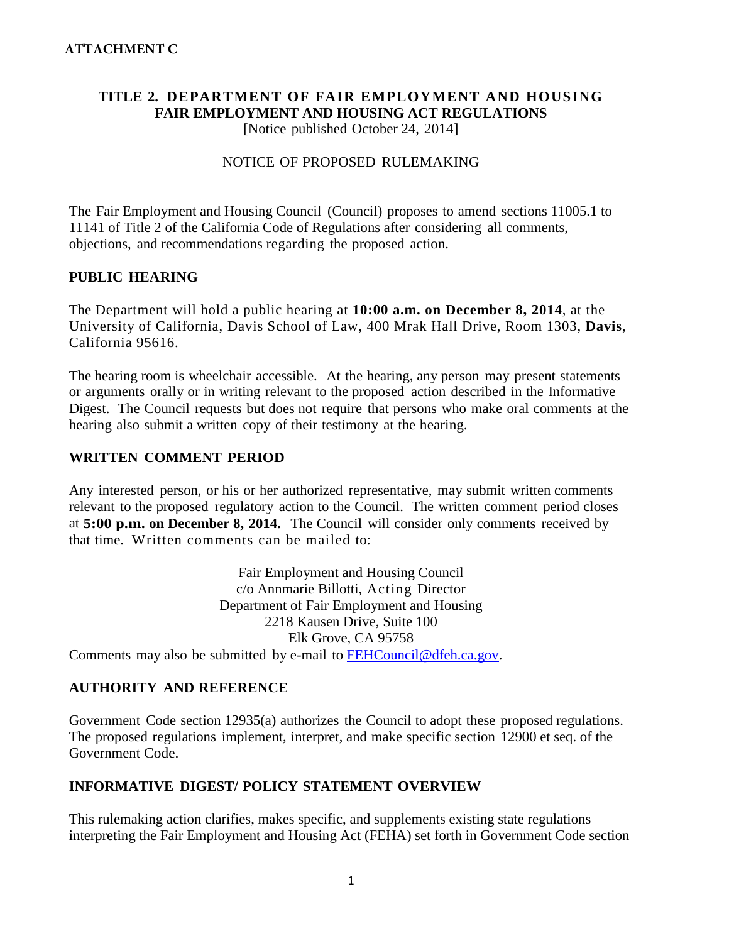# **TITLE 2. DEPARTMENT OF FAIR EMPLOYMENT AND HOUSING FAIR EMPLOYMENT AND HOUSING ACT REGULATIONS**

[Notice published October 24, 2014]

#### NOTICE OF PROPOSED RULEMAKING

The Fair Employment and Housing Council (Council) proposes to amend sections 11005.1 to 11141 of Title 2 of the California Code of Regulations after considering all comments, objections, and recommendations regarding the proposed action.

#### **PUBLIC HEARING**

The Department will hold a public hearing at **10:00 a.m. on December 8, 2014**, at the University of California, Davis School of Law, 400 Mrak Hall Drive, Room 1303, **Davis**, California 95616.

The hearing room is wheelchair accessible. At the hearing, any person may present statements or arguments orally or in writing relevant to the proposed action described in the Informative Digest. The Council requests but does not require that persons who make oral comments at the hearing also submit a written copy of their testimony at the hearing.

#### **WRITTEN COMMENT PERIOD**

Any interested person, or his or her authorized representative, may submit written comments relevant to the proposed regulatory action to the Council. The written comment period closes at **5:00 p.m. on December 8, 2014.** The Council will consider only comments received by that time. Written comments can be mailed to:

Fair Employment and Housing Council c/o Annmarie Billotti, Acting Director Department of Fair Employment and Housing 2218 Kausen Drive, Suite 100 Elk Grove, CA 95758 Comments may also be submitted by e-mail to [FEHCouncil@dfeh.ca.gov.](mailto:FEHCouncil@dfeh.ca.gov)

### **AUTHORITY AND REFERENCE**

Government Code section 12935(a) authorizes the Council to adopt these proposed regulations. The proposed regulations implement, interpret, and make specific section 12900 et seq. of the Government Code.

### **INFORMATIVE DIGEST/ POLICY STATEMENT OVERVIEW**

This rulemaking action clarifies, makes specific, and supplements existing state regulations interpreting the Fair Employment and Housing Act (FEHA) set forth in Government Code section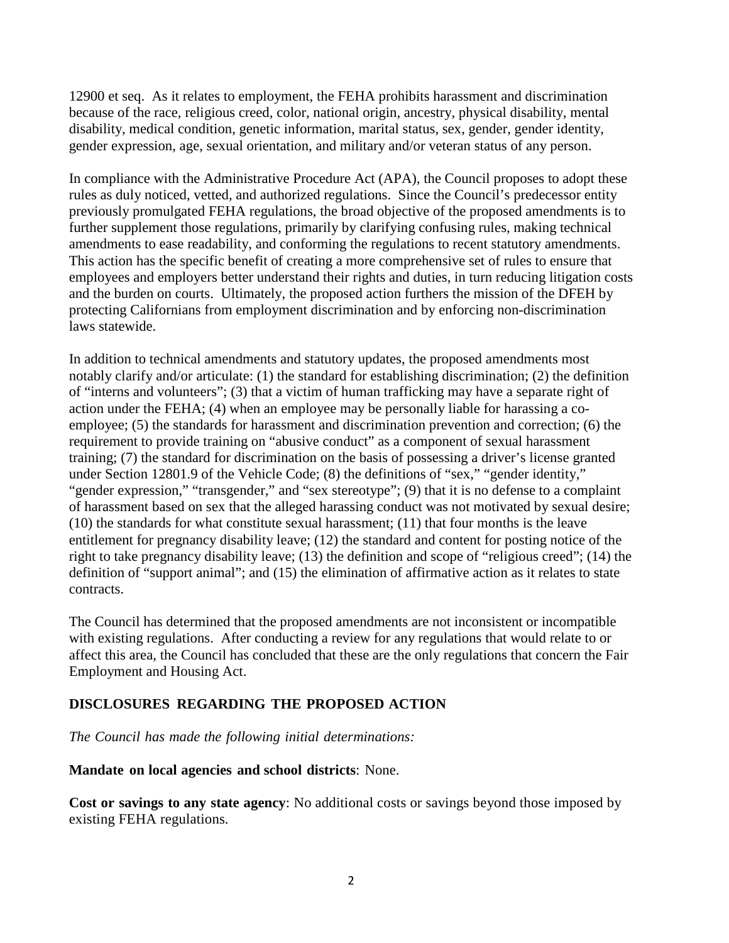12900 et seq. As it relates to employment, the FEHA prohibits harassment and discrimination because of the race, religious creed, color, national origin, ancestry, physical disability, mental disability, medical condition, genetic information, marital status, sex, gender, gender identity, gender expression, age, sexual orientation, and military and/or veteran status of any person.

In compliance with the Administrative Procedure Act (APA), the Council proposes to adopt these rules as duly noticed, vetted, and authorized regulations. Since the Council's predecessor entity previously promulgated FEHA regulations, the broad objective of the proposed amendments is to further supplement those regulations, primarily by clarifying confusing rules, making technical amendments to ease readability, and conforming the regulations to recent statutory amendments. This action has the specific benefit of creating a more comprehensive set of rules to ensure that employees and employers better understand their rights and duties, in turn reducing litigation costs and the burden on courts. Ultimately, the proposed action furthers the mission of the DFEH by protecting Californians from employment discrimination and by enforcing non-discrimination laws statewide.

In addition to technical amendments and statutory updates, the proposed amendments most notably clarify and/or articulate: (1) the standard for establishing discrimination; (2) the definition of "interns and volunteers"; (3) that a victim of human trafficking may have a separate right of action under the FEHA; (4) when an employee may be personally liable for harassing a coemployee; (5) the standards for harassment and discrimination prevention and correction; (6) the requirement to provide training on "abusive conduct" as a component of sexual harassment training; (7) the standard for discrimination on the basis of possessing a driver's license granted under Section 12801.9 of the Vehicle Code; (8) the definitions of "sex," "gender identity," "gender expression," "transgender," and "sex stereotype"; (9) that it is no defense to a complaint of harassment based on sex that the alleged harassing conduct was not motivated by sexual desire; (10) the standards for what constitute sexual harassment; (11) that four months is the leave entitlement for pregnancy disability leave; (12) the standard and content for posting notice of the right to take pregnancy disability leave; (13) the definition and scope of "religious creed"; (14) the definition of "support animal"; and (15) the elimination of affirmative action as it relates to state contracts.

The Council has determined that the proposed amendments are not inconsistent or incompatible with existing regulations. After conducting a review for any regulations that would relate to or affect this area, the Council has concluded that these are the only regulations that concern the Fair Employment and Housing Act.

#### **DISCLOSURES REGARDING THE PROPOSED ACTION**

*The Council has made the following initial determinations:* 

#### **Mandate on local agencies and school districts**: None.

**Cost or savings to any state agency**: No additional costs or savings beyond those imposed by existing FEHA regulations.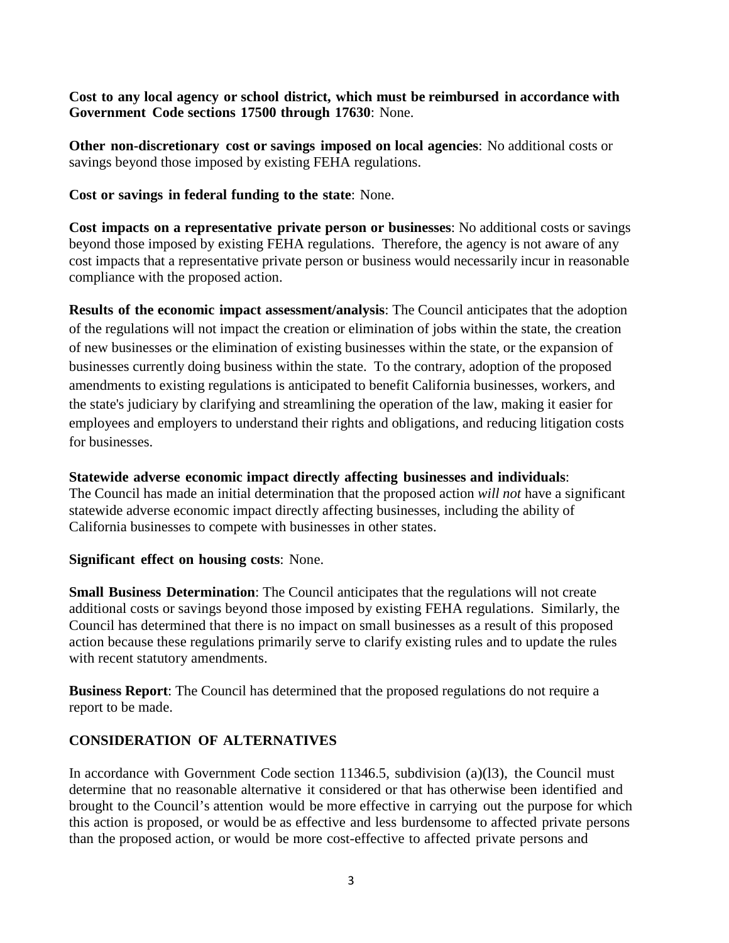**Cost to any local agency or school district, which must be reimbursed in accordance with Government Code sections 17500 through 17630**: None.

**Other non-discretionary cost or savings imposed on local agencies**: No additional costs or savings beyond those imposed by existing FEHA regulations.

**Cost or savings in federal funding to the state**: None.

**Cost impacts on a representative private person or businesses**: No additional costs or savings beyond those imposed by existing FEHA regulations. Therefore, the agency is not aware of any cost impacts that a representative private person or business would necessarily incur in reasonable compliance with the proposed action.

**Results of the economic impact assessment/analysis**: The Council anticipates that the adoption of the regulations will not impact the creation or elimination of jobs within the state, the creation of new businesses or the elimination of existing businesses within the state, or the expansion of businesses currently doing business within the state. To the contrary, adoption of the proposed amendments to existing regulations is anticipated to benefit California businesses, workers, and the state's judiciary by clarifying and streamlining the operation of the law, making it easier for employees and employers to understand their rights and obligations, and reducing litigation costs for businesses.

#### **Statewide adverse economic impact directly affecting businesses and individuals**:

The Council has made an initial determination that the proposed action *will not* have a significant statewide adverse economic impact directly affecting businesses, including the ability of California businesses to compete with businesses in other states.

#### **Significant effect on housing costs**: None.

**Small Business Determination**: The Council anticipates that the regulations will not create additional costs or savings beyond those imposed by existing FEHA regulations. Similarly, the Council has determined that there is no impact on small businesses as a result of this proposed action because these regulations primarily serve to clarify existing rules and to update the rules with recent statutory amendments.

**Business Report**: The Council has determined that the proposed regulations do not require a report to be made.

### **CONSIDERATION OF ALTERNATIVES**

In accordance with Government Code section 11346.5, subdivision (a)(l3), the Council must determine that no reasonable alternative it considered or that has otherwise been identified and brought to the Council's attention would be more effective in carrying out the purpose for which this action is proposed, or would be as effective and less burdensome to affected private persons than the proposed action, or would be more cost-effective to affected private persons and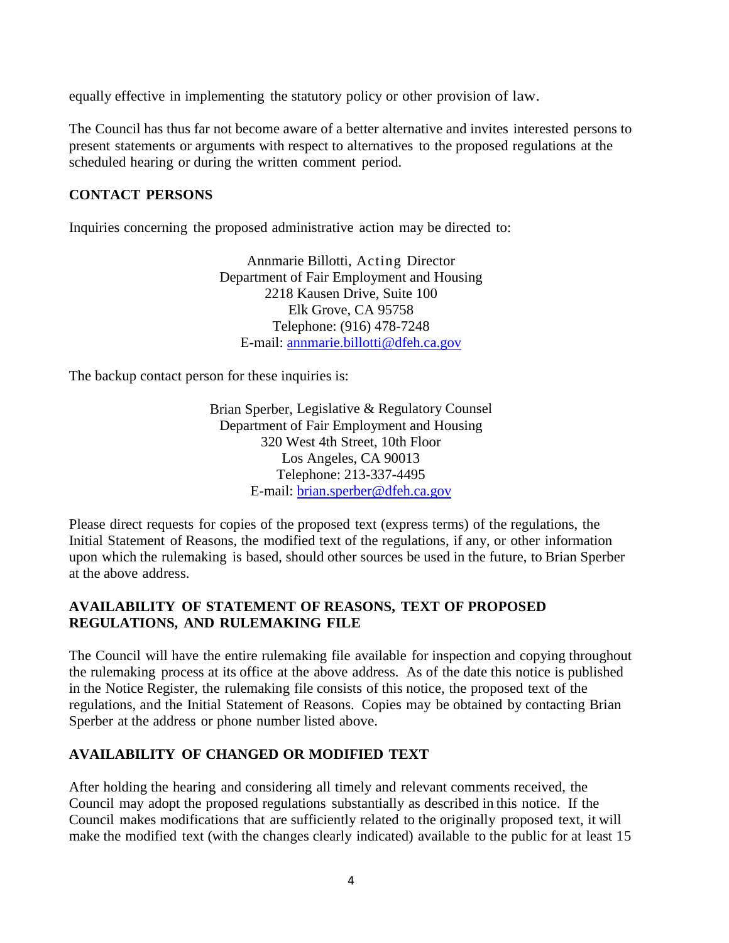equally effective in implementing the statutory policy or other provision of law.

The Council has thus far not become aware of a better alternative and invites interested persons to present statements or arguments with respect to alternatives to the proposed regulations at the scheduled hearing or during the written comment period.

# **CONTACT PERSONS**

Inquiries concerning the proposed administrative action may be directed to:

Annmarie Billotti, Acting Director Department of Fair Employment and Housing 2218 Kausen Drive, Suite 100 Elk Grove, CA 95758 Telephone: (916) 478-7248 E-mail: [annmarie.billotti@dfeh.ca.gov](mailto:annmarie.billotti@dfeh.ca.gov)

The backup contact person for these inquiries is:

Brian Sperber, Legislative & Regulatory Counsel Department of Fair Employment and Housing 320 West 4th Street, 10th Floor Los Angeles, CA 90013 Telephone: 213-337-4495 E-mail: [brian.sperber@dfeh.ca.gov](mailto:brian.sperber@dfeh.ca.gov)

Please direct requests for copies of the proposed text (express terms) of the regulations, the Initial Statement of Reasons, the modified text of the regulations, if any, or other information upon which the rulemaking is based, should other sources be used in the future, to Brian Sperber at the above address.

# **AVAILABILITY OF STATEMENT OF REASONS, TEXT OF PROPOSED REGULATIONS, AND RULEMAKING FILE**

The Council will have the entire rulemaking file available for inspection and copying throughout the rulemaking process at its office at the above address. As of the date this notice is published in the Notice Register, the rulemaking file consists of this notice, the proposed text of the regulations, and the Initial Statement of Reasons. Copies may be obtained by contacting Brian Sperber at the address or phone number listed above.

### **AVAILABILITY OF CHANGED OR MODIFIED TEXT**

After holding the hearing and considering all timely and relevant comments received, the Council may adopt the proposed regulations substantially as described in this notice. If the Council makes modifications that are sufficiently related to the originally proposed text, it will make the modified text (with the changes clearly indicated) available to the public for at least 15